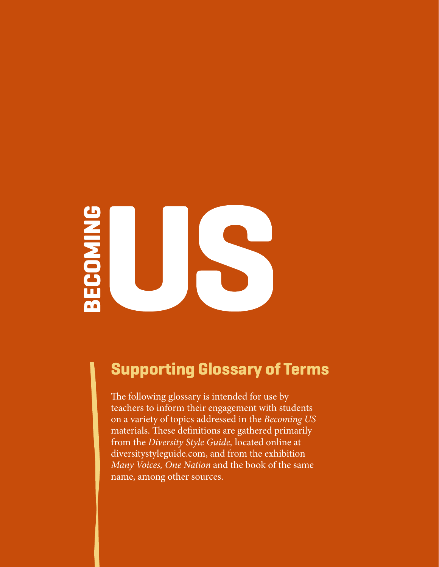# ECOMING S

# Supporting Glossary of Terms

The following glossary is intended for use by teachers to inform their engagement with students on a variety of topics addressed in the *Becoming US*  materials. These definitions are gathered primarily from the *Diversity Style Guide,* located online at [diversitystyleguide.com,](https://www.diversitystyleguide.com/) and from the exhibition *Many Voices, One Nation* and the book of the same name, among other sources.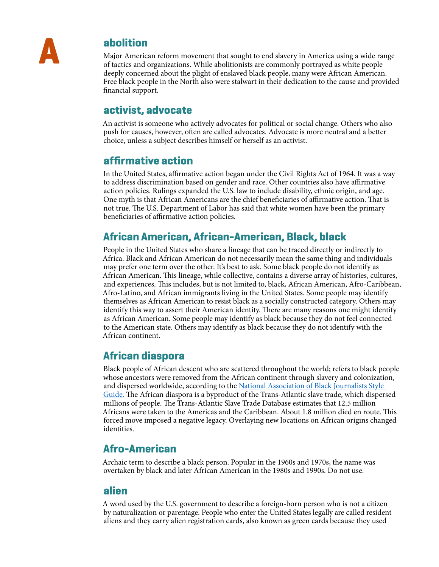

**abolition**<br>Major America<br>of tactics and c Major American reform movement that sought to end slavery in America using a wide range of tactics and organizations. While abolitionists are commonly portrayed as white people deeply concerned about the plight of enslaved black people, many were African American. Free black people in the North also were stalwart in their dedication to the cause and provided fnancial support.

### activist, advocate

An activist is someone who actively advocates for political or social change. Others who also push for causes, however, ofen are called advocates. Advocate is more neutral and a better choice, unless a subject describes himself or herself as an activist.

## affrmative action

In the United States, afrmative action began under the Civil Rights Act of 1964. It was a way to address discrimination based on gender and race. Other countries also have afrmative action policies. Rulings expanded the U.S. law to include disability, ethnic origin, and age. One myth is that African Americans are the chief benefciaries of afrmative action. Tat is not true. The U.S. Department of Labor has said that white women have been the primary beneficiaries of affirmative action policies.

# African American, African-American, Black, black

People in the United States who share a lineage that can be traced directly or indirectly to Africa. Black and African American do not necessarily mean the same thing and individuals may prefer one term over the other. It's best to ask. Some black people do not identify as African American. Tis lineage, while collective, contains a diverse array of histories, cultures, and experiences. Tis includes, but is not limited to, black, African American, Afro-Caribbean, Afro-Latino, and African immigrants living in the United States. Some people may identify themselves as African American to resist black as a socially constructed category. Others may identify this way to assert their American identity. There are many reasons one might identify as African American. Some people may identify as black because they do not feel connected to the American state. Others may identify as black because they do not identify with the African continent.

# African diaspora

Black people of African descent who are scattered throughout the world; refers to black people whose ancestors were removed from the African continent through slavery and colonization, and dispersed worldwide, according to the National Association of Black Journalists Style [Guide.](https://www.nabj.org/page/styleguide ) The African diaspora is a byproduct of the Trans-Atlantic slave trade, which dispersed millions of people. The Trans-Atlantic Slave Trade Database estimates that 12.5 million Africans were taken to the Americas and the Caribbean. About 1.8 million died en route. Tis forced move imposed a negative legacy. Overlaying new locations on African origins changed identities.

# Afro-American

Archaic term to describe a black person. Popular in the 1960s and 1970s, the name was overtaken by black and later African American in the 1980s and 1990s. Do not use.

### alien

A word used by the U.S. government to describe a foreign-born person who is not a citizen by naturalization or parentage. People who enter the United States legally are called resident aliens and they carry alien registration cards, also known as green cards because they used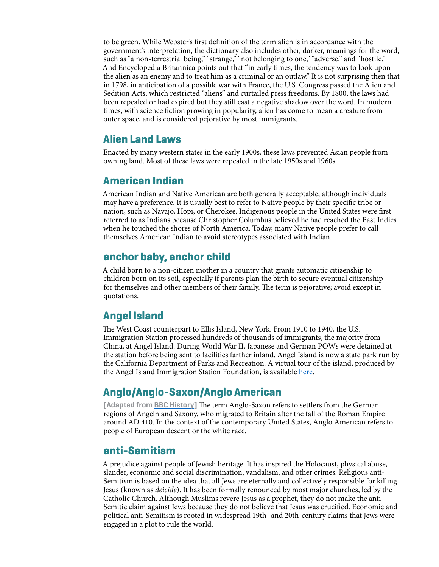to be green. While Webster's frst defnition of the term alien is in accordance with the government's interpretation, the dictionary also includes other, darker, meanings for the word, such as "a non-terrestrial being," "strange," "not belonging to one," "adverse," and "hostile." And Encyclopedia Britannica points out that "in early times, the tendency was to look upon the alien as an enemy and to treat him as a criminal or an outlaw." It is not surprising then that in 1798, in anticipation of a possible war with France, the U.S. Congress passed the Alien and Sedition Acts, which restricted "aliens" and curtailed press freedoms. By 1800, the laws had been repealed or had expired but they still cast a negative shadow over the word. In modern times, with science fction growing in popularity, alien has come to mean a creature from outer space, and is considered pejorative by most immigrants.

### Alien Land Laws

Enacted by many western states in the early 1900s, these laws prevented Asian people from owning land. Most of these laws were repealed in the late 1950s and 1960s.

### American Indian

American Indian and Native American are both generally acceptable, although individuals may have a preference. It is usually best to refer to Native people by their specifc tribe or nation, such as Navajo, Hopi, or Cherokee. Indigenous people in the United States were frst referred to as Indians because Christopher Columbus believed he had reached the East Indies when he touched the shores of North America. Today, many Native people prefer to call themselves American Indian to avoid stereotypes associated with Indian.

### anchor baby, anchor child

A child born to a non-citizen mother in a country that grants automatic citizenship to children born on its soil, especially if parents plan the birth to secure eventual citizenship for themselves and other members of their family. The term is pejorative; avoid except in quotations.

# Angel Island

The West Coast counterpart to Ellis Island, New York. From 1910 to 1940, the U.S. Immigration Station processed hundreds of thousands of immigrants, the majority from China, at Angel Island. During World War II, Japanese and German POWs were detained at the station before being sent to facilities farther inland. Angel Island is now a state park run by the California Department of Parks and Recreation. A virtual tour of the island, produced by the Angel Island Immigration Station Foundation, is available [here](https://www.youtube.com/watch?v=RtQYhNuIXxQ).

# Anglo/Anglo-Saxon/Anglo American

[Adapted from **BBC History**] The term Anglo-Saxon refers to settlers from the German regions of Angeln and Saxony, who migrated to Britain afer the fall of the Roman Empire around AD 410. In the context of the contemporary United States, Anglo American refers to people of European descent or the white race.

### anti-Semitism

A prejudice against people of Jewish heritage. It has inspired the Holocaust, physical abuse, slander, economic and social discrimination, vandalism, and other crimes. Religious anti-Semitism is based on the idea that all Jews are eternally and collectively responsible for killing Jesus (known as *deicide*). It has been formally renounced by most major churches, led by the Catholic Church. Although Muslims revere Jesus as a prophet, they do not make the anti-Semitic claim against Jews because they do not believe that Jesus was crucifed. Economic and political anti-Semitism is rooted in widespread 19th- and 20th-century claims that Jews were engaged in a plot to rule the world.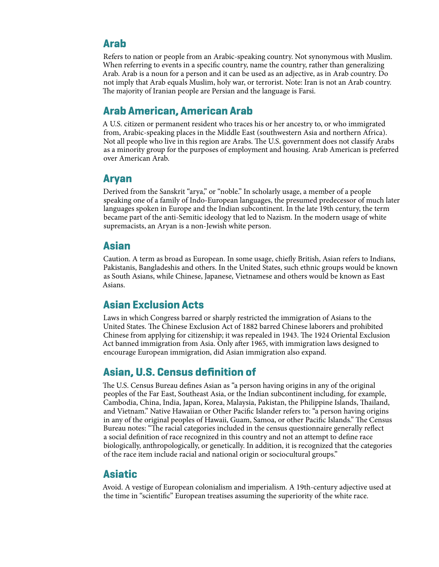### Arab

Refers to nation or people from an Arabic-speaking country. Not synonymous with Muslim. When referring to events in a specifc country, name the country, rather than generalizing Arab. Arab is a noun for a person and it can be used as an adjective, as in Arab country. Do not imply that Arab equals Muslim, holy war, or terrorist. Note: Iran is not an Arab country. The majority of Iranian people are Persian and the language is Farsi.

# Arab American, American Arab

A U.S. citizen or permanent resident who traces his or her ancestry to, or who immigrated from, Arabic-speaking places in the Middle East (southwestern Asia and northern Africa). Not all people who live in this region are Arabs. The U.S. government does not classify Arabs as a minority group for the purposes of employment and housing. Arab American is preferred over American Arab.

### Aryan

Derived from the Sanskrit "arya," or "noble." In scholarly usage, a member of a people speaking one of a family of Indo-European languages, the presumed predecessor of much later languages spoken in Europe and the Indian subcontinent. In the late 19th century, the term became part of the anti-Semitic ideology that led to Nazism. In the modern usage of white supremacists, an Aryan is a non-Jewish white person.

# Asian

Caution. A term as broad as European. In some usage, chiefy British, Asian refers to Indians, Pakistanis, Bangladeshis and others. In the United States, such ethnic groups would be known as South Asians, while Chinese, Japanese, Vietnamese and others would be known as East Asians.

# Asian Exclusion Acts

Laws in which Congress barred or sharply restricted the immigration of Asians to the United States. The Chinese Exclusion Act of 1882 barred Chinese laborers and prohibited Chinese from applying for citizenship; it was repealed in 1943. The 1924 Oriental Exclusion Act banned immigration from Asia. Only afer 1965, with immigration laws designed to encourage European immigration, did Asian immigration also expand.

# Asian, U.S. Census defnition of

The U.S. Census Bureau defines Asian as "a person having origins in any of the original peoples of the Far East, Southeast Asia, or the Indian subcontinent including, for example, Cambodia, China, India, Japan, Korea, Malaysia, Pakistan, the Philippine Islands, Tailand, and Vietnam." Native Hawaiian or Other Pacifc Islander refers to: "a person having origins in any of the original peoples of Hawaii, Guam, Samoa, or other Pacific Islands." The Census Bureau notes: "The racial categories included in the census questionnaire generally reflect a social defnition of race recognized in this country and not an attempt to defne race biologically, anthropologically, or genetically. In addition, it is recognized that the categories of the race item include racial and national origin or sociocultural groups."

### Asiatic

Avoid. A vestige of European colonialism and imperialism. A 19th-century adjective used at the time in "scientifc" European treatises assuming the superiority of the white race.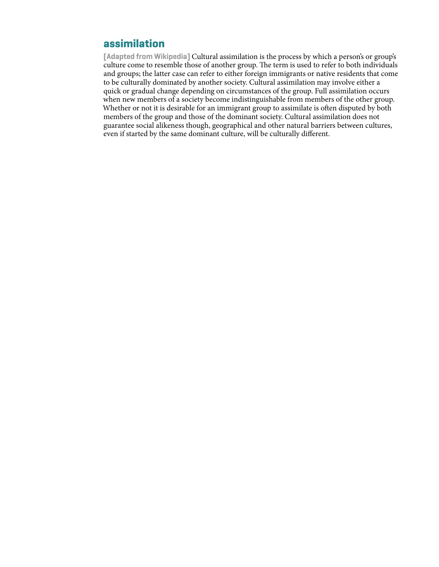# assimilation

**[Adapted from Wikipedia]** Cultural assimilation is the process by which a person's or group's culture come to resemble those of another group. The term is used to refer to both individuals and groups; the latter case can refer to either foreign immigrants or native residents that come to be culturally dominated by another society. Cultural assimilation may involve either a quick or gradual change depending on circumstances of the group. Full assimilation occurs when new members of a society become indistinguishable from members of the other group. Whether or not it is desirable for an immigrant group to assimilate is ofen disputed by both members of the group and those of the dominant society. Cultural assimilation does not guarantee social alikeness though, geographical and other natural barriers between cultures, even if started by the same dominant culture, will be culturally diferent.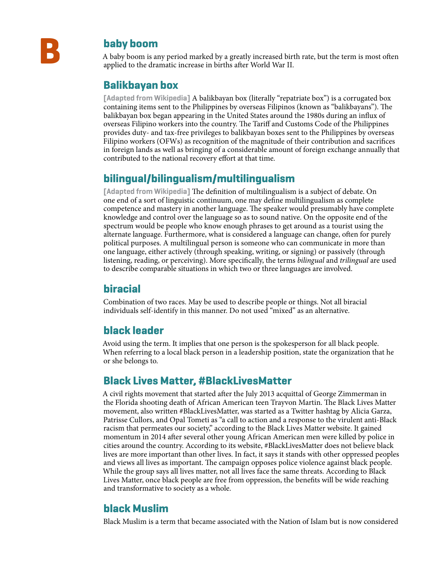# baby boom

A baby boom is any period marked by a greatly increased birth rate, but the term is most ofen applied to the dramatic increase in births afer World War II.

## Balikbayan box

**[Adapted from Wikipedia]** A balikbayan box (literally "repatriate box") is a corrugated box containing items sent to the Philippines by overseas Filipinos (known as "balikbayans"). The balikbayan box began appearing in the United States around the 1980s during an infux of overseas Filipino workers into the country. The Tariff and Customs Code of the Philippines provides duty- and tax-free privileges to balikbayan boxes sent to the Philippines by overseas Filipino workers (OFWs) as recognition of the magnitude of their contribution and sacrifces in foreign lands as well as bringing of a considerable amount of foreign exchange annually that contributed to the national recovery efort at that time.

# bilingual/bilingualism/multilingualism

[Adapted from Wikipedia] The definition of multilingualism is a subject of debate. On one end of a sort of linguistic continuum, one may defne multilingualism as complete competence and mastery in another language. The speaker would presumably have complete knowledge and control over the language so as to sound native. On the opposite end of the spectrum would be people who know enough phrases to get around as a tourist using the alternate language. Furthermore, what is considered a language can change, ofen for purely political purposes. A multilingual person is someone who can communicate in more than one language, either actively (through speaking, writing, or signing) or passively (through listening, reading, or perceiving). More specifcally, the terms *bilingual* and *trilingual* are used to describe comparable situations in which two or three languages are involved.

# biracial

Combination of two races. May be used to describe people or things. Not all biracial individuals self-identify in this manner. Do not used "mixed" as an alternative.

# black leader

Avoid using the term. It implies that one person is the spokesperson for all black people. When referring to a local black person in a leadership position, state the organization that he or she belongs to.

# Black Lives Matter, #BlackLivesMatter

A civil rights movement that started afer the July 2013 acquittal of George Zimmerman in the Florida shooting death of African American teen Trayvon Martin. The Black Lives Matter movement, also written #BlackLivesMatter, was started as a Twitter hashtag by Alicia Garza, Patrisse Cullors, and Opal Tometi as "a call to action and a response to the virulent anti-Black racism that permeates our society," according to the Black Lives Matter website. It gained momentum in 2014 afer several other young African American men were killed by police in cities around the country. According to its website, #BlackLivesMatter does not believe black lives are more important than other lives. In fact, it says it stands with other oppressed peoples and views all lives as important. The campaign opposes police violence against black people. While the group says all lives matter, not all lives face the same threats. According to Black Lives Matter, once black people are free from oppression, the benefts will be wide reaching and transformative to society as a whole.

# black Muslim

Black Muslim is a term that became associated with the Nation of Islam but is now considered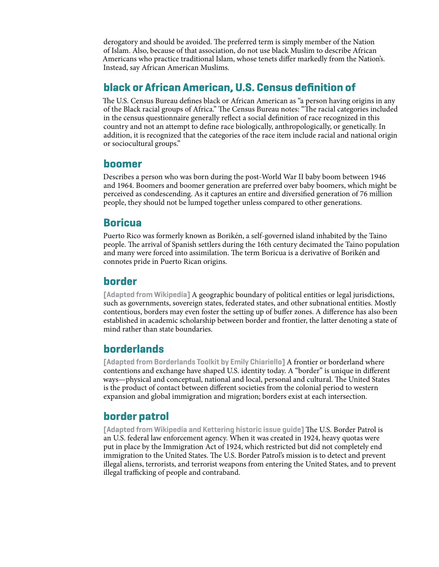derogatory and should be avoided. The preferred term is simply member of the Nation of Islam. Also, because of that association, do not use black Muslim to describe African Americans who practice traditional Islam, whose tenets difer markedly from the Nation's. Instead, say African American Muslims.

# black or African American, U.S. Census defnition of

The U.S. Census Bureau defines black or African American as "a person having origins in any of the Black racial groups of Africa." The Census Bureau notes: "The racial categories included in the census questionnaire generally refect a social defnition of race recognized in this country and not an attempt to defne race biologically, anthropologically, or genetically. In addition, it is recognized that the categories of the race item include racial and national origin or sociocultural groups."

### boomer

Describes a person who was born during the post-World War II baby boom between 1946 and 1964. Boomers and boomer generation are preferred over baby boomers, which might be perceived as condescending. As it captures an entire and diversifed generation of 76 million people, they should not be lumped together unless compared to other generations.

### Boricua

Puerto Rico was formerly known as Borikén, a self-governed island inhabited by the Taino people. The arrival of Spanish settlers during the 16th century decimated the Taino population and many were forced into assimilation. The term Boricua is a derivative of Borikén and connotes pride in Puerto Rican origins.

## border

**[Adapted from Wikipedia]** A geographic boundary of political entities or legal jurisdictions, such as governments, sovereign states, federated states, and other subnational entities. Mostly contentious, borders may even foster the setting up of bufer zones. A diference has also been established in academic scholarship between border and frontier, the latter denoting a state of mind rather than state boundaries.

# borderlands

**[Adapted from Borderlands Toolkit by Emily Chiariello]** A frontier or borderland where contentions and exchange have shaped U.S. identity today. A "border" is unique in diferent ways—physical and conceptual, national and local, personal and cultural. The United States is the product of contact between diferent societies from the colonial period to western expansion and global immigration and migration; borders exist at each intersection.

# border patrol

**[Adapted from Wikipedia and Kettering historic issue quide] The U.S. Border Patrol is** an U.S. federal law enforcement agency. When it was created in 1924, heavy quotas were put in place by the Immigration Act of 1924, which restricted but did not completely end immigration to the United States. The U.S. Border Patrol's mission is to detect and prevent illegal aliens, terrorists, and terrorist weapons from entering the United States, and to prevent illegal trafficking of people and contraband.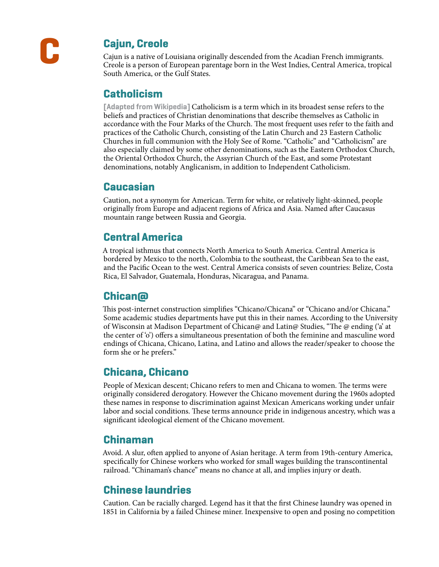# **Cajun, Creole**

Cajun is a native of Louisiana originally descended from the Acadian French immigrants. Creole is a person of European parentage born in the West Indies, Central America, tropical South America, or the Gulf States.

# Catholicism

**[Adapted from Wikipedia]** Catholicism is a term which in its broadest sense refers to the beliefs and practices of Christian denominations that describe themselves as Catholic in accordance with the Four Marks of the Church. The most frequent uses refer to the faith and practices of the Catholic Church, consisting of the Latin Church and 23 Eastern Catholic Churches in full communion with the Holy See of Rome. "Catholic" and "Catholicism" are also especially claimed by some other denominations, such as the Eastern Orthodox Church, the Oriental Orthodox Church, the Assyrian Church of the East, and some Protestant denominations, notably Anglicanism, in addition to Independent Catholicism.

## Caucasian

Caution, not a synonym for American. Term for white, or relatively light-skinned, people originally from Europe and adjacent regions of Africa and Asia. Named afer Caucasus mountain range between Russia and Georgia.

# Central America

A tropical isthmus that connects North America to South America. Central America is bordered by Mexico to the north, Colombia to the southeast, the Caribbean Sea to the east, and the Pacifc Ocean to the west. Central America consists of seven countries: Belize, Costa Rica, El Salvador, Guatemala, Honduras, Nicaragua, and Panama.

# Chican@

Tis post-internet construction simplifes "Chicano/Chicana" or "Chicano and/or Chicana." Some academic studies departments have put this in their names. According to the University of Wisconsin at Madison Department of Chican@ and Latin@ Studies, "The @ ending ('a' at the center of 'o') offers a simultaneous presentation of both the feminine and masculine word endings of Chicana, Chicano, Latina, and Latino and allows the reader/speaker to choose the form she or he prefers."

# Chicana, Chicano

People of Mexican descent; Chicano refers to men and Chicana to women. The terms were originally considered derogatory. However the Chicano movement during the 1960s adopted these names in response to discrimination against Mexican Americans working under unfair labor and social conditions. These terms announce pride in indigenous ancestry, which was a signifcant ideological element of the Chicano movement.

# Chinaman

Avoid. A slur, ofen applied to anyone of Asian heritage. A term from 19th-century America, specifcally for Chinese workers who worked for small wages building the transcontinental railroad. "Chinaman's chance'' means no chance at all, and implies injury or death.

# Chinese laundries

Caution. Can be racially charged. Legend has it that the frst Chinese laundry was opened in 1851 in California by a failed Chinese miner. Inexpensive to open and posing no competition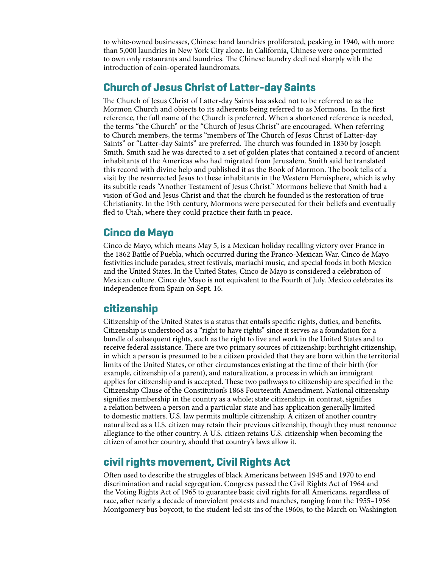to white-owned businesses, Chinese hand laundries proliferated, peaking in 1940, with more than 5,000 laundries in New York City alone. In California, Chinese were once permitted to own only restaurants and laundries. The Chinese laundry declined sharply with the introduction of coin-operated laundromats.

## Church of Jesus Christ of Latter-day Saints

The Church of Jesus Christ of Latter-day Saints has asked not to be referred to as the Mormon Church and objects to its adherents being referred to as Mormons. In the frst reference, the full name of the Church is preferred. When a shortened reference is needed, the terms "the Church" or the "Church of Jesus Christ" are encouraged. When referring to Church members, the terms "members of The Church of Jesus Christ of Latter-day Saints" or "Latter-day Saints" are preferred. The church was founded in 1830 by Joseph Smith. Smith said he was directed to a set of golden plates that contained a record of ancient inhabitants of the Americas who had migrated from Jerusalem. Smith said he translated this record with divine help and published it as the Book of Mormon. The book tells of a visit by the resurrected Jesus to these inhabitants in the Western Hemisphere, which is why its subtitle reads "Another Testament of Jesus Christ." Mormons believe that Smith had a vision of God and Jesus Christ and that the church he founded is the restoration of true Christianity. In the 19th century, Mormons were persecuted for their beliefs and eventually fed to Utah, where they could practice their faith in peace.

# Cinco de Mayo

Cinco de Mayo, which means May 5, is a Mexican holiday recalling victory over France in the 1862 Battle of Puebla, which occurred during the Franco-Mexican War. Cinco de Mayo festivities include parades, street festivals, mariachi music, and special foods in both Mexico and the United States. In the United States, Cinco de Mayo is considered a celebration of Mexican culture. Cinco de Mayo is not equivalent to the Fourth of July. Mexico celebrates its independence from Spain on Sept. 16.

### citizenship

Citizenship of the United States is a status that entails specifc rights, duties, and benefts. Citizenship is understood as a "right to have rights" since it serves as a foundation for a bundle of subsequent rights, such as the right to live and work in the United States and to receive federal assistance. There are two primary sources of citizenship: birthright citizenship, in which a person is presumed to be a citizen provided that they are born within the territorial limits of the United States, or other circumstances existing at the time of their birth (for example, citizenship of a parent), and naturalization, a process in which an immigrant applies for citizenship and is accepted. These two pathways to citizenship are specified in the Citizenship Clause of the Constitution's 1868 Fourteenth Amendment. National citizenship signifes membership in the country as a whole; state citizenship, in contrast, signifes a relation between a person and a particular state and has application generally limited to domestic matters. U.S. law permits multiple citizenship. A citizen of another country naturalized as a U.S. citizen may retain their previous citizenship, though they must renounce allegiance to the other country. A U.S. citizen retains U.S. citizenship when becoming the citizen of another country, should that country's laws allow it.

# civil rights movement, Civil Rights Act

Ofen used to describe the struggles of black Americans between 1945 and 1970 to end discrimination and racial segregation. Congress passed the Civil Rights Act of 1964 and the Voting Rights Act of 1965 to guarantee basic civil rights for all Americans, regardless of race, afer nearly a decade of nonviolent protests and marches, ranging from the 1955–1956 Montgomery bus boycott, to the student-led sit-ins of the 1960s, to the March on Washington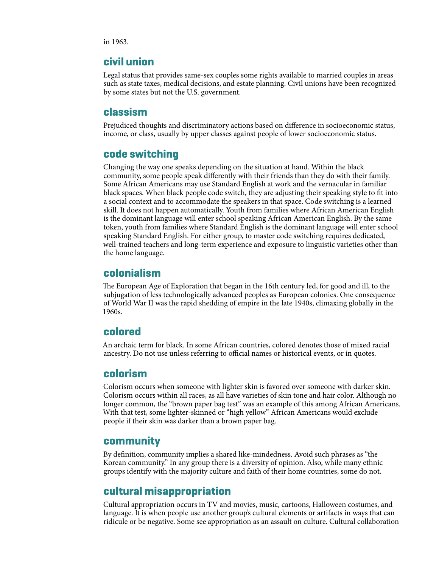in 1963.

### civil union

Legal status that provides same-sex couples some rights available to married couples in areas such as state taxes, medical decisions, and estate planning. Civil unions have been recognized by some states but not the U.S. government.

### classism

Prejudiced thoughts and discriminatory actions based on diference in socioeconomic status, income, or class, usually by upper classes against people of lower socioeconomic status.

### code switching

Changing the way one speaks depending on the situation at hand. Within the black community, some people speak diferently with their friends than they do with their family. Some African Americans may use Standard English at work and the vernacular in familiar black spaces. When black people code switch, they are adjusting their speaking style to ft into a social context and to accommodate the speakers in that space. Code switching is a learned skill. It does not happen automatically. Youth from families where African American English is the dominant language will enter school speaking African American English. By the same token, youth from families where Standard English is the dominant language will enter school speaking Standard English. For either group, to master code switching requires dedicated, well-trained teachers and long-term experience and exposure to linguistic varieties other than the home language.

### colonialism

The European Age of Exploration that began in the 16th century led, for good and ill, to the subjugation of less technologically advanced peoples as European colonies. One consequence of World War II was the rapid shedding of empire in the late 1940s, climaxing globally in the 1960s.

### colored

An archaic term for black. In some African countries, colored denotes those of mixed racial ancestry. Do not use unless referring to official names or historical events, or in quotes.

### colorism

Colorism occurs when someone with lighter skin is favored over someone with darker skin. Colorism occurs within all races, as all have varieties of skin tone and hair color. Although no longer common, the "brown paper bag test" was an example of this among African Americans. With that test, some lighter-skinned or "high yellow" African Americans would exclude people if their skin was darker than a brown paper bag.

### community

By defnition, community implies a shared like-mindedness. Avoid such phrases as "the Korean community." In any group there is a diversity of opinion. Also, while many ethnic groups identify with the majority culture and faith of their home countries, some do not.

### cultural misappropriation

Cultural appropriation occurs in TV and movies, music, cartoons, Halloween costumes, and language. It is when people use another group's cultural elements or artifacts in ways that can ridicule or be negative. Some see appropriation as an assault on culture. Cultural collaboration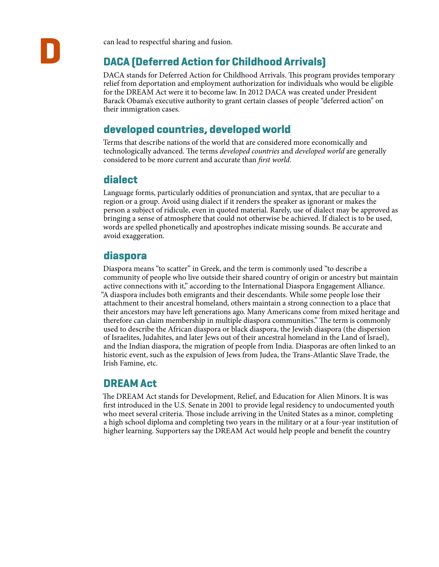can lead to respectful sharing and fusion.

# DACA (Deferred Action for Childhood Arrivals)

DACA stands for Deferred Action for Childhood Arrivals. Tis program provides temporary relief from deportation and employment authorization for individuals who would be eligible for the DREAM Act were it to become law. In 2012 DACA was created under President Barack Obama's executive authority to grant certain classes of people "deferred action" on their immigration cases.

## developed countries, developed world

Terms that describe nations of the world that are considered more economically and technologically advanced. The terms *developed countries* and *developed world* are generally considered to be more current and accurate than *frst world*.

## dialect

Language forms, particularly oddities of pronunciation and syntax, that are peculiar to a region or a group. Avoid using dialect if it renders the speaker as ignorant or makes the person a subject of ridicule, even in quoted material. Rarely, use of dialect may be approved as bringing a sense of atmosphere that could not otherwise be achieved. If dialect is to be used, words are spelled phonetically and apostrophes indicate missing sounds. Be accurate and avoid exaggeration.

## diaspora

Diaspora means "to scatter" in Greek, and the term is commonly used "to describe a community of people who live outside their shared country of origin or ancestry but maintain active connections with it," according to the International Diaspora Engagement Alliance. "A diaspora includes both emigrants and their descendants. While some people lose their attachment to their ancestral homeland, others maintain a strong connection to a place that their ancestors may have left generations ago. Many Americans come from mixed heritage and therefore can claim membership in multiple diaspora communities." The term is commonly used to describe the African diaspora or black diaspora, the Jewish diaspora (the dispersion of Israelites, Judahites, and later Jews out of their ancestral homeland in the Land of Israel), and the Indian diaspora, the migration of people from India. Diasporas are ofen linked to an historic event, such as the expulsion of Jews from Judea, the Trans-Atlantic Slave Trade, the Irish Famine, etc.

### DREAM Act

The DREAM Act stands for Development, Relief, and Education for Alien Minors. It is was frst introduced in the U.S. Senate in 2001 to provide legal residency to undocumented youth who meet several criteria. Those include arriving in the United States as a minor, completing a high school diploma and completing two years in the military or at a four-year institution of higher learning. Supporters say the DREAM Act would help people and beneft the country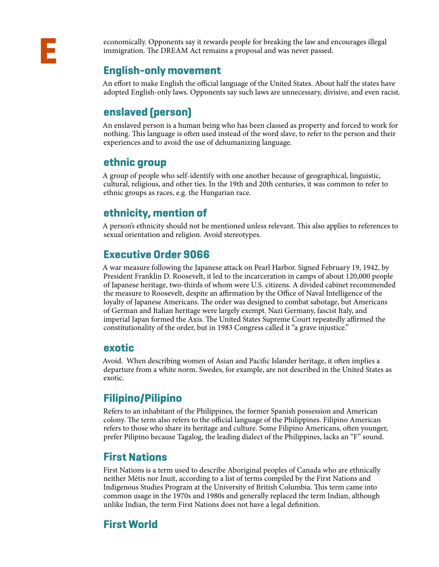E economically. Opponents say it rewards people for breaking the law and encourages illegal immigration. The DREAM Act remains a proposal and was never passed. immigration. The DREAM Act remains a proposal and was never passed.

# English-only movement

An effort to make English the official language of the United States. About half the states have adopted English-only laws. Opponents say such laws are unnecessary, divisive, and even racist.

# enslaved (person)

An enslaved person is a human being who has been classed as property and forced to work for nothing. This language is often used instead of the word slave, to refer to the person and their experiences and to avoid the use of dehumanizing language.

## ethnic group

A group of people who self-identify with one another because of geographical, linguistic, cultural, religious, and other ties. In the 19th and 20th centuries, it was common to refer to ethnic groups as races, e.g. the Hungarian race.

# ethnicity, mention of

A person's ethnicity should not be mentioned unless relevant. Tis also applies to references to sexual orientation and religion. Avoid stereotypes.

# Executive Order 9066

A war measure following the Japanese attack on Pearl Harbor. Signed February 19, 1942, by President Franklin D. Roosevelt, it led to the incarceration in camps of about 120,000 people of Japanese heritage, two-thirds of whom were U.S. citizens. A divided cabinet recommended the measure to Roosevelt, despite an affirmation by the Office of Naval Intelligence of the loyalty of Japanese Americans. The order was designed to combat sabotage, but Americans of German and Italian heritage were largely exempt. Nazi Germany, fascist Italy, and imperial Japan formed the Axis. The United States Supreme Court repeatedly affirmed the constitutionality of the order, but in 1983 Congress called it "a grave injustice."

### exotic

Avoid. When describing women of Asian and Pacifc Islander heritage, it ofen implies a departure from a white norm. Swedes, for example, are not described in the United States as exotic.

# Filipino/Pilipino

Refers to an inhabitant of the Philippines, the former Spanish possession and American colony. The term also refers to the official language of the Philippines. Filipino American refers to those who share its heritage and culture. Some Filipino Americans, ofen younger, prefer Pilipino because Tagalog, the leading dialect of the Philippines, lacks an "F" sound.

# First Nations

First Nations is a term used to describe Aboriginal peoples of Canada who are ethnically neither Métis nor Inuit, according to a list of terms compiled by the First Nations and Indigenous Studies Program at the University of British Columbia. This term came into common usage in the 1970s and 1980s and generally replaced the term Indian, although unlike Indian, the term First Nations does not have a legal defnition.

# First World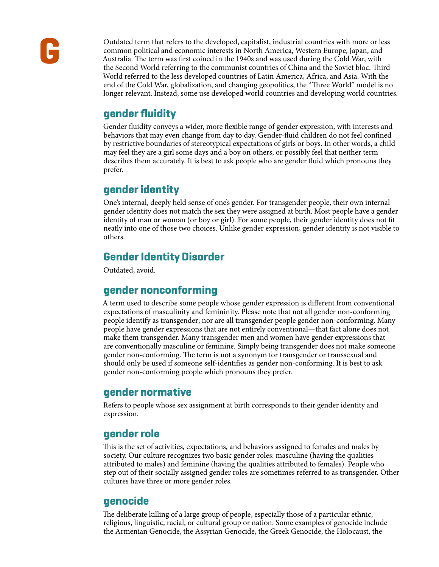Outdated term that refers to the developed, capitalist, industrial countries with more or less common political and economic interests in North America, Western Europe, Japan, and Australia. The term was first coined in the 1940s and was used during the Cold War, with the Second World referring to the communist countries of China and the Soviet bloc. Tird World referred to the less developed countries of Latin America, Africa, and Asia. With the end of the Cold War, globalization, and changing geopolitics, the "Three World" model is no longer relevant. Instead, some use developed world countries and developing world countries.

# gender fuidity

Gender fuidity conveys a wider, more fexible range of gender expression, with interests and behaviors that may even change from day to day. Gender-fuid children do not feel confned by restrictive boundaries of stereotypical expectations of girls or boys. In other words, a child may feel they are a girl some days and a boy on others, or possibly feel that neither term describes them accurately. It is best to ask people who are gender fuid which pronouns they prefer.

## gender identity

One's internal, deeply held sense of one's gender. For transgender people, their own internal gender identity does not match the sex they were assigned at birth. Most people have a gender identity of man or woman (or boy or girl). For some people, their gender identity does not ft neatly into one of those two choices. Unlike gender expression, gender identity is not visible to others.

# Gender Identity Disorder

Outdated, avoid.

### gender nonconforming

A term used to describe some people whose gender expression is diferent from conventional expectations of masculinity and femininity. Please note that not all gender non-conforming people identify as transgender; nor are all transgender people gender non-conforming. Many people have gender expressions that are not entirely conventional—that fact alone does not make them transgender. Many transgender men and women have gender expressions that are conventionally masculine or feminine. Simply being transgender does not make someone gender non-conforming. The term is not a synonym for transgender or transsexual and should only be used if someone self-identifes as gender non-conforming. It is best to ask gender non-conforming people which pronouns they prefer.

### gender normative

Refers to people whose sex assignment at birth corresponds to their gender identity and expression.

### gender role

This is the set of activities, expectations, and behaviors assigned to females and males by society. Our culture recognizes two basic gender roles: masculine (having the qualities attributed to males) and feminine (having the qualities attributed to females). People who step out of their socially assigned gender roles are sometimes referred to as transgender. Other cultures have three or more gender roles.

### genocide

The deliberate killing of a large group of people, especially those of a particular ethnic, religious, linguistic, racial, or cultural group or nation. Some examples of genocide include the Armenian Genocide, the Assyrian Genocide, the Greek Genocide, the Holocaust, the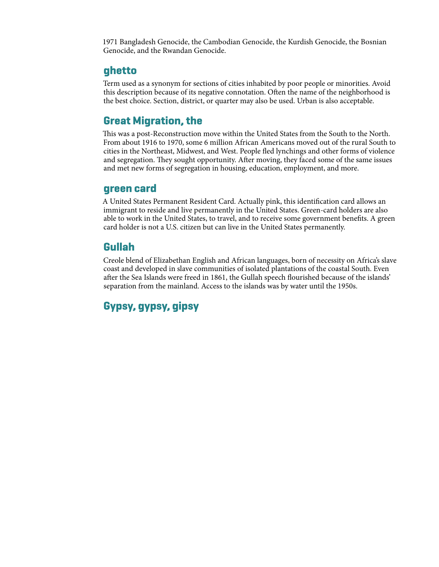1971 Bangladesh Genocide, the Cambodian Genocide, the Kurdish Genocide, the Bosnian Genocide, and the Rwandan Genocide.

### ghetto

Term used as a synonym for sections of cities inhabited by poor people or minorities. Avoid this description because of its negative connotation. Ofen the name of the neighborhood is the best choice. Section, district, or quarter may also be used. Urban is also acceptable.

### Great Migration, the

This was a post-Reconstruction move within the United States from the South to the North. From about 1916 to 1970, some 6 million African Americans moved out of the rural South to cities in the Northeast, Midwest, and West. People fed lynchings and other forms of violence and segregation. They sought opportunity. After moving, they faced some of the same issues and met new forms of segregation in housing, education, employment, and more.

### green card

A United States Permanent Resident Card. Actually pink, this identifcation card allows an immigrant to reside and live permanently in the United States. Green-card holders are also able to work in the United States, to travel, and to receive some government benefts. A green card holder is not a U.S. citizen but can live in the United States permanently.

### Gullah

Creole blend of Elizabethan English and African languages, born of necessity on Africa's slave coast and developed in slave communities of isolated plantations of the coastal South. Even afer the Sea Islands were freed in 1861, the Gullah speech fourished because of the islands' separation from the mainland. Access to the islands was by water until the 1950s.

# Gypsy, gypsy, gipsy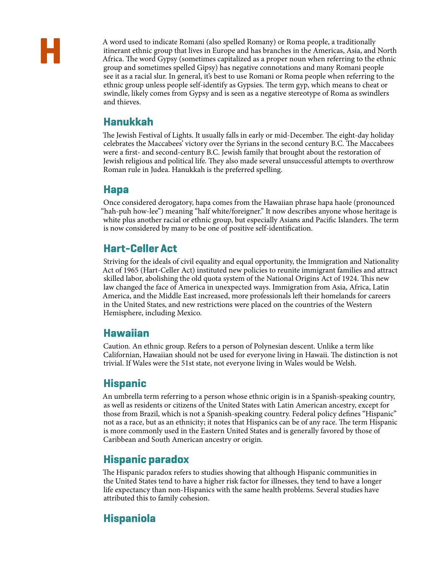A word used to indicate Romani (also spelled Romany) or Roma people, a traditionally itinerant ethnic group that lives in Europe and has branches in the Americas, Asia, and Africa. The word Gypsy (sometimes capitalized as itinerant ethnic group that lives in Europe and has branches in the Americas, Asia, and North Africa. The word Gypsy (sometimes capitalized as a proper noun when referring to the ethnic group and sometimes spelled Gipsy) has negative connotations and many Romani people see it as a racial slur. In general, it's best to use Romani or Roma people when referring to the ethnic group unless people self-identify as Gypsies. The term gyp, which means to cheat or swindle, likely comes from Gypsy and is seen as a negative stereotype of Roma as swindlers and thieves.

# Hanukkah

The Jewish Festival of Lights. It usually falls in early or mid-December. The eight-day holiday celebrates the Maccabees' victory over the Syrians in the second century B.C. The Maccabees were a frst- and second-century B.C. Jewish family that brought about the restoration of Jewish religious and political life. They also made several unsuccessful attempts to overthrow Roman rule in Judea. Hanukkah is the preferred spelling.

### Hapa

Once considered derogatory, hapa comes from the Hawaiian phrase hapa haole (pronounced "hah-puh how-lee") meaning "half white/foreigner." It now describes anyone whose heritage is white plus another racial or ethnic group, but especially Asians and Pacific Islanders. The term is now considered by many to be one of positive self-identifcation.

# Hart-Celler Act

Striving for the ideals of civil equality and equal opportunity, the Immigration and Nationality Act of 1965 (Hart-Celler Act) instituted new policies to reunite immigrant families and attract skilled labor, abolishing the old quota system of the National Origins Act of 1924. This new law changed the face of America in unexpected ways. Immigration from Asia, Africa, Latin America, and the Middle East increased, more professionals lef their homelands for careers in the United States, and new restrictions were placed on the countries of the Western Hemisphere, including Mexico.

# Hawaiian

Caution. An ethnic group. Refers to a person of Polynesian descent. Unlike a term like Californian, Hawaiian should not be used for everyone living in Hawaii. The distinction is not trivial. If Wales were the 51st state, not everyone living in Wales would be Welsh.

# **Hispanic**

An umbrella term referring to a person whose ethnic origin is in a Spanish-speaking country, as well as residents or citizens of the United States with Latin American ancestry, except for those from Brazil, which is not a Spanish-speaking country. Federal policy defnes "Hispanic" not as a race, but as an ethnicity; it notes that Hispanics can be of any race. The term Hispanic is more commonly used in the Eastern United States and is generally favored by those of Caribbean and South American ancestry or origin.

# Hispanic paradox

The Hispanic paradox refers to studies showing that although Hispanic communities in the United States tend to have a higher risk factor for illnesses, they tend to have a longer life expectancy than non-Hispanics with the same health problems. Several studies have attributed this to family cohesion.

# Hispaniola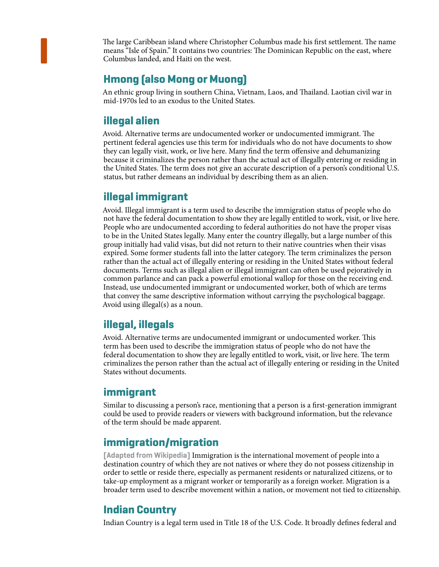The large Caribbean island where Christopher Columbus made his first settlement. The name means "Isle of Spain." It contains two countries: The Dominican Republic on the east, where Columbus landed, and Haiti on the west. means "Isle of Spain." It contains two countries: The Dominican Republic on the east, where Columbus landed, and Haiti on the west.

# Hmong (also Mong or Muong)

An ethnic group living in southern China, Vietnam, Laos, and Thailand. Laotian civil war in mid-1970s led to an exodus to the United States.

# illegal alien

Avoid. Alternative terms are undocumented worker or undocumented immigrant. The pertinent federal agencies use this term for individuals who do not have documents to show they can legally visit, work, or live here. Many fnd the term ofensive and dehumanizing because it criminalizes the person rather than the actual act of illegally entering or residing in the United States. The term does not give an accurate description of a person's conditional U.S. status, but rather demeans an individual by describing them as an alien.

# illegal immigrant

Avoid. Illegal immigrant is a term used to describe the immigration status of people who do not have the federal documentation to show they are legally entitled to work, visit, or live here. People who are undocumented according to federal authorities do not have the proper visas to be in the United States legally. Many enter the country illegally, but a large number of this group initially had valid visas, but did not return to their native countries when their visas expired. Some former students fall into the latter category. The term criminalizes the person rather than the actual act of illegally entering or residing in the United States without federal documents. Terms such as illegal alien or illegal immigrant can ofen be used pejoratively in common parlance and can pack a powerful emotional wallop for those on the receiving end. Instead, use undocumented immigrant or undocumented worker, both of which are terms that convey the same descriptive information without carrying the psychological baggage. Avoid using illegal(s) as a noun.

# illegal, illegals

Avoid. Alternative terms are undocumented immigrant or undocumented worker. Tis term has been used to describe the immigration status of people who do not have the federal documentation to show they are legally entitled to work, visit, or live here. The term criminalizes the person rather than the actual act of illegally entering or residing in the United States without documents.

# immigrant

Similar to discussing a person's race, mentioning that a person is a frst-generation immigrant could be used to provide readers or viewers with background information, but the relevance of the term should be made apparent.

# immigration/migration

**[Adapted from Wikipedia]** Immigration is the international movement of people into a destination country of which they are not natives or where they do not possess citizenship in order to settle or reside there, especially as permanent residents or naturalized citizens, or to take-up employment as a migrant worker or temporarily as a foreign worker. Migration is a broader term used to describe movement within a nation, or movement not tied to citizenship.

# Indian Country

Indian Country is a legal term used in Title 18 of the U.S. Code. It broadly defnes federal and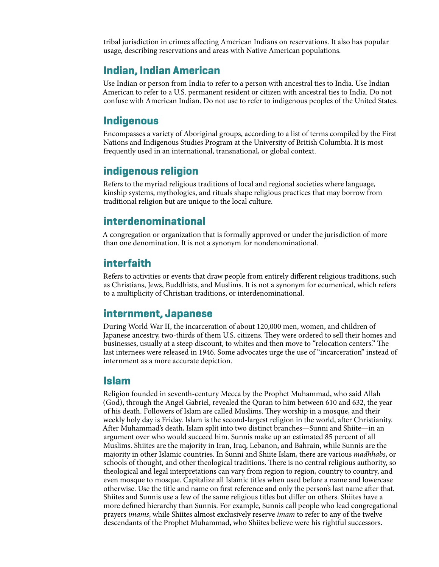tribal jurisdiction in crimes afecting American Indians on reservations. It also has popular usage, describing reservations and areas with Native American populations.

### Indian, Indian American

Use Indian or person from India to refer to a person with ancestral ties to India. Use Indian American to refer to a U.S. permanent resident or citizen with ancestral ties to India. Do not confuse with American Indian. Do not use to refer to indigenous peoples of the United States.

### **Indigenous**

Encompasses a variety of Aboriginal groups, according to a list of terms compiled by the First Nations and Indigenous Studies Program at the University of British Columbia. It is most frequently used in an international, transnational, or global context.

### indigenous religion

Refers to the myriad religious traditions of local and regional societies where language, kinship systems, mythologies, and rituals shape religious practices that may borrow from traditional religion but are unique to the local culture.

### interdenominational

A congregation or organization that is formally approved or under the jurisdiction of more than one denomination. It is not a synonym for nondenominational.

### interfaith

Refers to activities or events that draw people from entirely diferent religious traditions, such as Christians, Jews, Buddhists, and Muslims. It is not a synonym for ecumenical, which refers to a multiplicity of Christian traditions, or interdenominational.

### internment, Japanese

During World War II, the incarceration of about 120,000 men, women, and children of Japanese ancestry, two-thirds of them U.S. citizens. They were ordered to sell their homes and businesses, usually at a steep discount, to whites and then move to "relocation centers." The last internees were released in 1946. Some advocates urge the use of "incarceration" instead of internment as a more accurate depiction.

### Islam

Religion founded in seventh-century Mecca by the Prophet Muhammad, who said Allah (God), through the Angel Gabriel, revealed the Quran to him between 610 and 632, the year of his death. Followers of Islam are called Muslims. They worship in a mosque, and their weekly holy day is Friday. Islam is the second-largest religion in the world, afer Christianity. Afer Muhammad's death, Islam split into two distinct branches—Sunni and Shiite—in an argument over who would succeed him. Sunnis make up an estimated 85 percent of all Muslims. Shiites are the majority in Iran, Iraq, Lebanon, and Bahrain, while Sunnis are the majority in other Islamic countries. In Sunni and Shiite Islam, there are various *madhhabs*, or schools of thought, and other theological traditions. There is no central religious authority, so theological and legal interpretations can vary from region to region, country to country, and even mosque to mosque. Capitalize all Islamic titles when used before a name and lowercase otherwise. Use the title and name on frst reference and only the person's last name afer that. Shiites and Sunnis use a few of the same religious titles but difer on others. Shiites have a more defned hierarchy than Sunnis. For example, Sunnis call people who lead congregational prayers *imams*, while Shiites almost exclusively reserve *imam* to refer to any of the twelve descendants of the Prophet Muhammad, who Shiites believe were his rightful successors.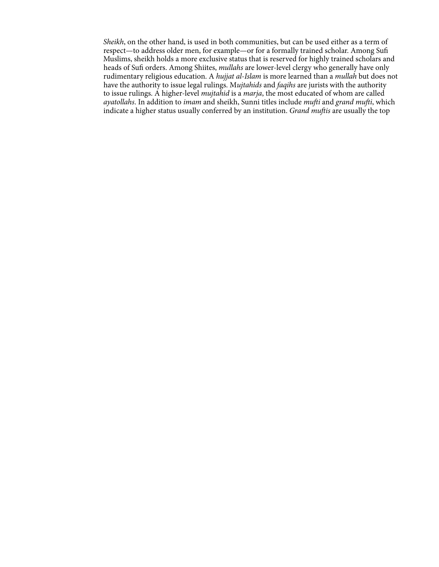*Sheikh*, on the other hand, is used in both communities, but can be used either as a term of respect—to address older men, for example—or for a formally trained scholar. Among Suf Muslims, sheikh holds a more exclusive status that is reserved for highly trained scholars and heads of Suf orders. Among Shiites, *mullahs* are lower-level clergy who generally have only rudimentary religious education. A *hujjat al-Islam* is more learned than a *mullah* but does not have the authority to issue legal rulings. M*ujtahids* and *faqihs* are jurists with the authority to issue rulings. A higher-level *mujtahid* is a *marja*, the most educated of whom are called *ayatollahs*. In addition to *imam* and sheikh, Sunni titles include *mufi* and *grand mufi*, which indicate a higher status usually conferred by an institution. *Grand mufis* are usually the top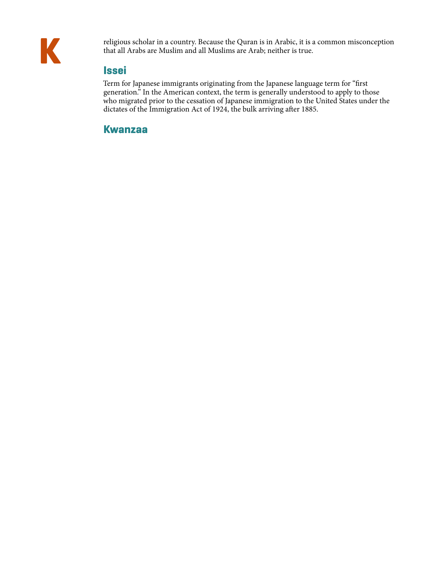religious scholar in a country. Because the Quran is in Arabic, it is a common misconception that all Arabs are Muslim and all Muslims are Arab; neither is true. that all Arabs are Muslim and all Muslims are Arab; neither is true.

# Issei

Term for Japanese immigrants originating from the Japanese language term for "frst generation." In the American context, the term is generally understood to apply to those who migrated prior to the cessation of Japanese immigration to the United States under the dictates of the Immigration Act of 1924, the bulk arriving after 1885.

### Kwanzaa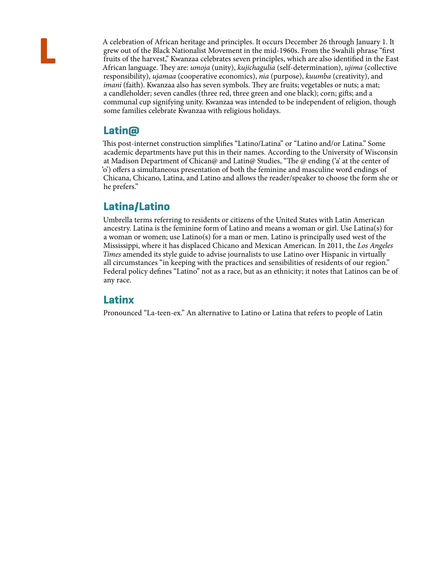A celebration of African heritage and principles. It occurs December 26 through January 1. It grew out of the Black Nationalist Movement in the mid-1960s. From the Swahili phrase "first fruits of the harvest," Kwanzaa cele grew out of the Black Nationalist Movement in the mid-1960s. From the Swahili phrase "frst fruits of the harvest," Kwanzaa celebrates seven principles, which are also identifed in the East African language. They are: *umoja* (unity), *kujichagulia* (self-determination), *ujima* (collective responsibility), *ujamaa* (cooperative economics), *nia* (purpose), *kuumba* (creativity), and *imani* (faith). Kwanzaa also has seven symbols. They are fruits; vegetables or nuts; a mat; a candleholder; seven candles (three red, three green and one black); corn; gifs; and a communal cup signifying unity. Kwanzaa was intended to be independent of religion, though some families celebrate Kwanzaa with religious holidays.

# Latin@

This post-internet construction simplifies "Latino/Latina" or "Latino and/or Latina." Some academic departments have put this in their names. According to the University of Wisconsin at Madison Department of Chican@ and Latin@ Studies, "The @ ending ('a' at the center of 'o') ofers a simultaneous presentation of both the feminine and masculine word endings of Chicana, Chicano, Latina, and Latino and allows the reader/speaker to choose the form she or he prefers."

# Latina/Latino

Umbrella terms referring to residents or citizens of the United States with Latin American ancestry. Latina is the feminine form of Latino and means a woman or girl. Use Latina(s) for a woman or women; use Latino(s) for a man or men. Latino is principally used west of the Mississippi, where it has displaced Chicano and Mexican American. In 2011, the *Los Angeles Times* amended its style guide to advise journalists to use Latino over Hispanic in virtually all circumstances "in keeping with the practices and sensibilities of residents of our region." Federal policy defnes "Latino" not as a race, but as an ethnicity; it notes that Latinos can be of any race.

# Latinx

Pronounced "La-teen-ex." An alternative to Latino or Latina that refers to people of Latin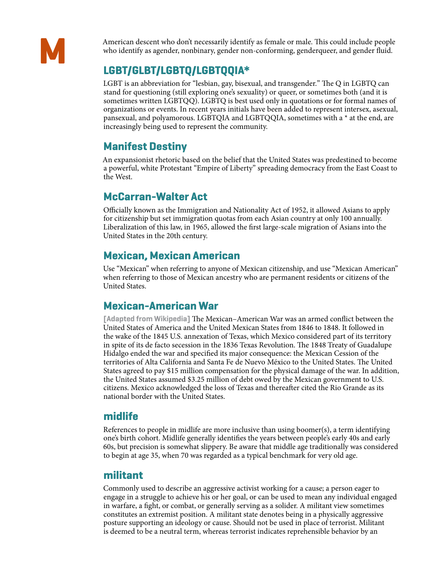

American descent who don't necessarily identify as female or male. This could include people<br>who identify as agender, nonbinary, gender non-conforming, genderqueer, and gender fluid.<br>I GRT/GI RT/I GRT/I LERT/I ILERT/I M who identify as agender, nonbinary, gender non-conforming, genderqueer, and gender fuid.

# LGBT/GLBT/LGBTQ/LGBTQQIA\*

LGBT is an abbreviation for "lesbian, gay, bisexual, and transgender." The Q in LGBTQ can stand for questioning (still exploring one's sexuality) or queer, or sometimes both (and it is sometimes written LGBTQQ). LGBTQ is best used only in quotations or for formal names of organizations or events. In recent years initials have been added to represent intersex, asexual, pansexual, and polyamorous. LGBTQIA and LGBTQQIA, sometimes with a \* at the end, are increasingly being used to represent the community.

# Manifest Destiny

An expansionist rhetoric based on the belief that the United States was predestined to become a powerful, white Protestant "Empire of Liberty" spreading democracy from the East Coast to the West.

# McCarran-Walter Act

Officially known as the Immigration and Nationality Act of 1952, it allowed Asians to apply for citizenship but set immigration quotas from each Asian country at only 100 annually. Liberalization of this law, in 1965, allowed the frst large-scale migration of Asians into the United States in the 20th century.

# Mexican, Mexican American

Use "Mexican" when referring to anyone of Mexican citizenship, and use "Mexican American" when referring to those of Mexican ancestry who are permanent residents or citizens of the United States.

# Mexican-American War

[Adapted from Wikipedia] The Mexican–American War was an armed conflict between the United States of America and the United Mexican States from 1846 to 1848. It followed in the wake of the 1845 U.S. annexation of Texas, which Mexico considered part of its territory in spite of its de facto secession in the 1836 Texas Revolution. The 1848 Treaty of Guadalupe Hidalgo ended the war and specifed its major consequence: the Mexican Cession of the territories of Alta California and Santa Fe de Nuevo México to the United States. The United States agreed to pay \$15 million compensation for the physical damage of the war. In addition, the United States assumed \$3.25 million of debt owed by the Mexican government to U.S. citizens. Mexico acknowledged the loss of Texas and thereafer cited the Rio Grande as its national border with the United States.

### midlife

References to people in midlife are more inclusive than using boomer(s), a term identifying one's birth cohort. Midlife generally identifes the years between people's early 40s and early 60s, but precision is somewhat slippery. Be aware that middle age traditionally was considered to begin at age 35, when 70 was regarded as a typical benchmark for very old age.

### militant

Commonly used to describe an aggressive activist working for a cause; a person eager to engage in a struggle to achieve his or her goal, or can be used to mean any individual engaged in warfare, a fght, or combat, or generally serving as a solider. A militant view sometimes constitutes an extremist position. A militant state denotes being in a physically aggressive posture supporting an ideology or cause. Should not be used in place of terrorist. Militant is deemed to be a neutral term, whereas terrorist indicates reprehensible behavior by an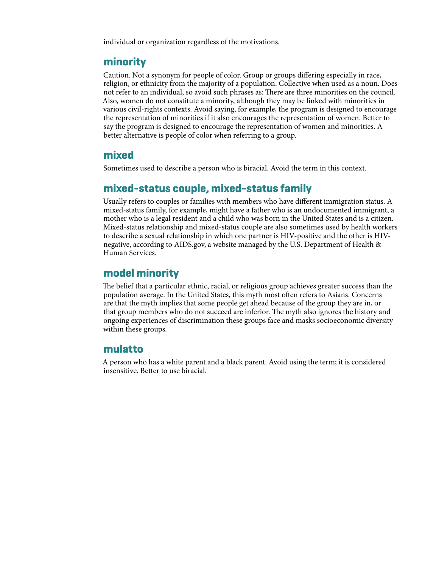individual or organization regardless of the motivations.

### minority

Caution. Not a synonym for people of color. Group or groups difering especially in race, religion, or ethnicity from the majority of a population. Collective when used as a noun. Does not refer to an individual, so avoid such phrases as: There are three minorities on the council. Also, women do not constitute a minority, although they may be linked with minorities in various civil-rights contexts. Avoid saying, for example, the program is designed to encourage the representation of minorities if it also encourages the representation of women. Better to say the program is designed to encourage the representation of women and minorities. A better alternative is people of color when referring to a group.

### mixed

Sometimes used to describe a person who is biracial. Avoid the term in this context.

### mixed-status couple, mixed-status family

Usually refers to couples or families with members who have diferent immigration status. A mixed-status family, for example, might have a father who is an undocumented immigrant, a mother who is a legal resident and a child who was born in the United States and is a citizen. Mixed-status relationship and mixed-status couple are also sometimes used by health workers to describe a sexual relationship in which one partner is HIV-positive and the other is HIVnegative, according to [AIDS.gov,](https://AIDS.gov) a website managed by the U.S. Department of Health & Human Services.

### model minority

The belief that a particular ethnic, racial, or religious group achieves greater success than the population average. In the United States, this myth most ofen refers to Asians. Concerns are that the myth implies that some people get ahead because of the group they are in, or that group members who do not succeed are inferior. The myth also ignores the history and ongoing experiences of discrimination these groups face and masks socioeconomic diversity within these groups.

### mulatto

A person who has a white parent and a black parent. Avoid using the term; it is considered insensitive. Better to use biracial.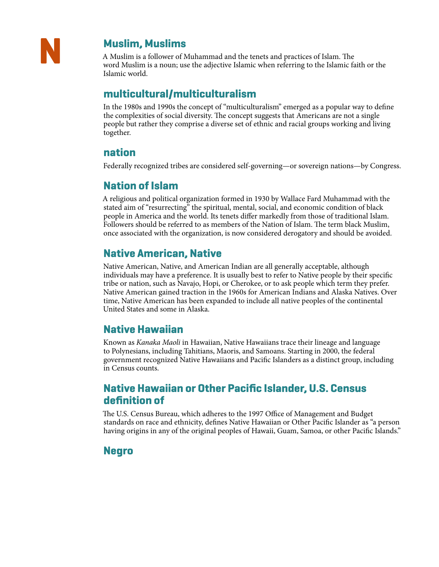

# **Muslim, Muslims**

A Muslim is a follower of Muhammad and the tenets and practices of Islam. The word Muslim is a noun; use the adjective Islamic when referring to the Islamic faith or the Islamic world.

# multicultural/multiculturalism

In the 1980s and 1990s the concept of "multiculturalism" emerged as a popular way to defne the complexities of social diversity. The concept suggests that Americans are not a single people but rather they comprise a diverse set of ethnic and racial groups working and living together.

## nation

Federally recognized tribes are considered self-governing—or sovereign nations—by Congress.

# Nation of Islam

A religious and political organization formed in 1930 by Wallace Fard Muhammad with the stated aim of "resurrecting" the spiritual, mental, social, and economic condition of black people in America and the world. Its tenets difer markedly from those of traditional Islam. Followers should be referred to as members of the Nation of Islam. The term black Muslim, once associated with the organization, is now considered derogatory and should be avoided.

# Native American, Native

Native American, Native, and American Indian are all generally acceptable, although individuals may have a preference. It is usually best to refer to Native people by their specifc tribe or nation, such as Navajo, Hopi, or Cherokee, or to ask people which term they prefer. Native American gained traction in the 1960s for American Indians and Alaska Natives. Over time, Native American has been expanded to include all native peoples of the continental United States and some in Alaska.

# Native Hawaiian

Known as *Kanaka Maoli* in Hawaiian, Native Hawaiians trace their lineage and language to Polynesians, including Tahitians, Maoris, and Samoans. Starting in 2000, the federal government recognized Native Hawaiians and Pacifc Islanders as a distinct group, including in Census counts.

# Native Hawaiian or Other Pacifc Islander, U.S. Census defnition of

The U.S. Census Bureau, which adheres to the 1997 Office of Management and Budget standards on race and ethnicity, defnes Native Hawaiian or Other Pacifc Islander as "a person having origins in any of the original peoples of Hawaii, Guam, Samoa, or other Pacifc Islands."

# Negro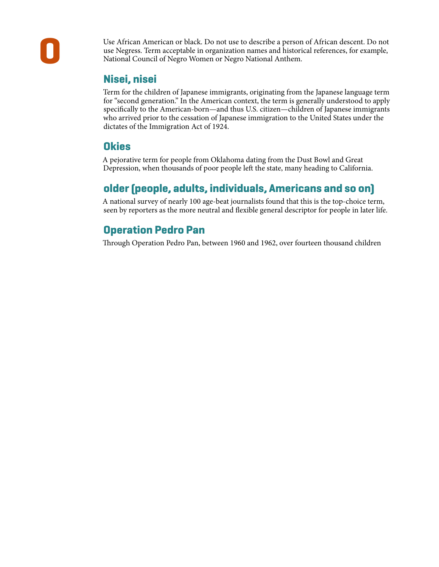Use African American or black. Do not use to describe a person of African descent. Do not use Negress. Term acceptable in organization names and historical references, for example, National Council of Negro Women or Negro use Negress. Term acceptable in organization names and historical references, for example, National Council of Negro Women or Negro National Anthem.

# Nisei, nisei

Term for the children of Japanese immigrants, originating from the Japanese language term for "second generation." In the American context, the term is generally understood to apply specifcally to the American-born—and thus U.S. citizen—children of Japanese immigrants who arrived prior to the cessation of Japanese immigration to the United States under the dictates of the Immigration Act of 1924.

# **Okies**

A pejorative term for people from Oklahoma dating from the Dust Bowl and Great Depression, when thousands of poor people left the state, many heading to California.

# older (people, adults, individuals, Americans and so on)

A national survey of nearly 100 age-beat journalists found that this is the top-choice term, seen by reporters as the more neutral and fexible general descriptor for people in later life.

# Operation Pedro Pan

Trough Operation Pedro Pan, between 1960 and 1962, over fourteen thousand children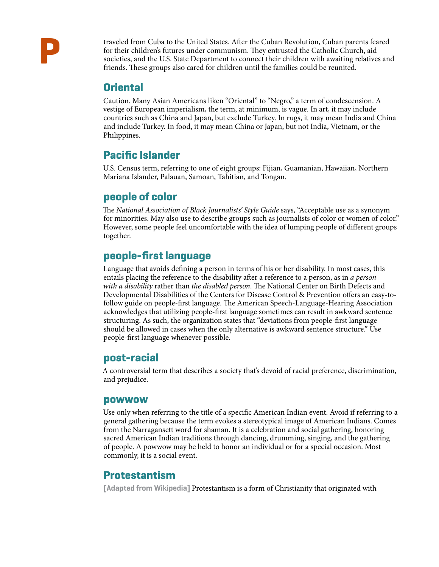traveled from Cuba to the United States. Afer the Cuban Revolution, Cuban parents feared for their children's futures under communism. They entrusted the Catholic Church, aid societies, and the U.S. State Department to connect their children with awaiting relatives and friends. These groups also cared for children until the families could be reunited.

## Oriental

Caution. Many Asian Americans liken "Oriental" to "Negro," a term of condescension. A vestige of European imperialism, the term, at minimum, is vague. In art, it may include countries such as China and Japan, but exclude Turkey. In rugs, it may mean India and China and include Turkey. In food, it may mean China or Japan, but not India, Vietnam, or the Philippines.

# Pacifc Islander

U.S. Census term, referring to one of eight groups: Fijian, Guamanian, Hawaiian, Northern Mariana Islander, Palauan, Samoan, Tahitian, and Tongan.

# people of color

The *National Association of Black Journalists' Style Guide* says, "Acceptable use as a synonym for minorities. May also use to describe groups such as journalists of color or women of color." However, some people feel uncomfortable with the idea of lumping people of diferent groups together.

# people-frst language

Language that avoids defning a person in terms of his or her disability. In most cases, this entails placing the reference to the disability afer a reference to a person, as in *a person*  with a disability rather than *the disabled person*. The National Center on Birth Defects and Developmental Disabilities of the Centers for Disease Control & Prevention ofers an easy-tofollow guide on people-first language. The American Speech-Language-Hearing Association acknowledges that utilizing people-frst language sometimes can result in awkward sentence structuring. As such, the organization states that "deviations from people-frst language should be allowed in cases when the only alternative is awkward sentence structure." Use people-frst language whenever possible.

### post-racial

A controversial term that describes a society that's devoid of racial preference, discrimination, and prejudice.

### powwow

Use only when referring to the title of a specifc American Indian event. Avoid if referring to a general gathering because the term evokes a stereotypical image of American Indians. Comes from the Narragansett word for shaman. It is a celebration and social gathering, honoring sacred American Indian traditions through dancing, drumming, singing, and the gathering of people. A powwow may be held to honor an individual or for a special occasion. Most commonly, it is a social event.

### Protestantism

**[Adapted from Wikipedia]** Protestantism is a form of Christianity that originated with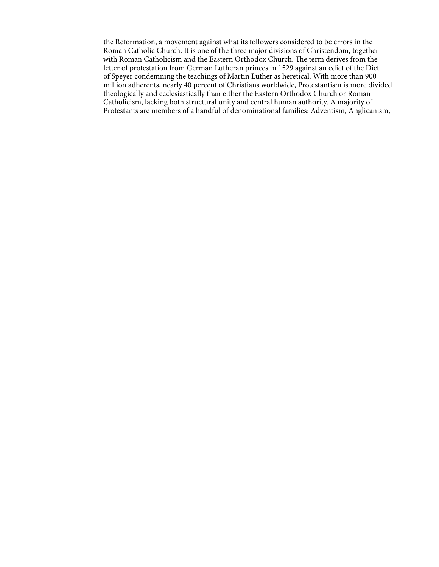the Reformation, a movement against what its followers considered to be errors in the Roman Catholic Church. It is one of the three major divisions of Christendom, together with Roman Catholicism and the Eastern Orthodox Church. The term derives from the letter of protestation from German Lutheran princes in 1529 against an edict of the Diet of Speyer condemning the teachings of Martin Luther as heretical. With more than 900 million adherents, nearly 40 percent of Christians worldwide, Protestantism is more divided theologically and ecclesiastically than either the Eastern Orthodox Church or Roman Catholicism, lacking both structural unity and central human authority. A majority of Protestants are members of a handful of denominational families: Adventism, Anglicanism,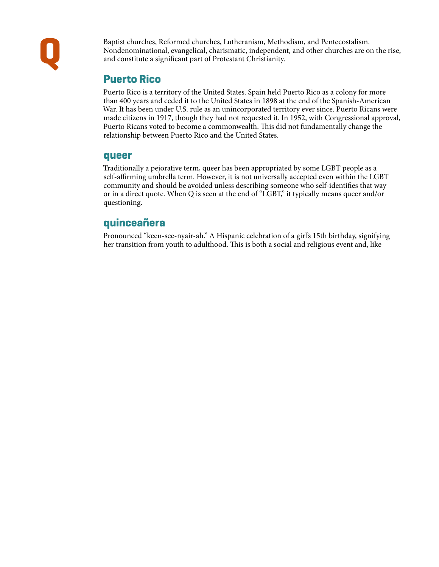Baptist churches, Reformed churches, Lutheranism, Methodism, and Pentecostalism.<br>Nondenominational, evangelical, charismatic, independent, and other churches are or<br>and constitute a significant part of Protestant Christian Nondenominational, evangelical, charismatic, independent, and other churches are on the rise, and constitute a signifcant part of Protestant Christianity.

# Puerto Rico

Puerto Rico is a territory of the United States. Spain held Puerto Rico as a colony for more than 400 years and ceded it to the United States in 1898 at the end of the Spanish-American War. It has been under U.S. rule as an unincorporated territory ever since. Puerto Ricans were made citizens in 1917, though they had not requested it. In 1952, with Congressional approval, Puerto Ricans voted to become a commonwealth. This did not fundamentally change the relationship between Puerto Rico and the United States.

### queer

Traditionally a pejorative term, queer has been appropriated by some LGBT people as a self-afrming umbrella term. However, it is not universally accepted even within the LGBT community and should be avoided unless describing someone who self-identifes that way or in a direct quote. When Q is seen at the end of "LGBT," it typically means queer and/or questioning.

## quinceañera

Pronounced "keen-see-nyair-ah." A Hispanic celebration of a girl's 15th birthday, signifying her transition from youth to adulthood. This is both a social and religious event and, like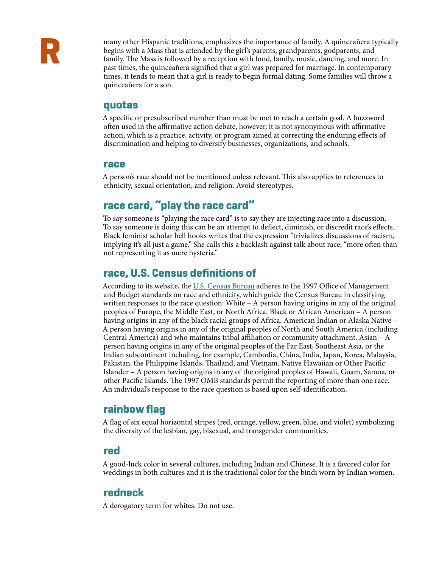many other Hispanic traditions, emphasizes the importance of family. A quinceañera typically begins with a Mass that is attended by the girl's parents, grandparents, godparents, and family. The Mass is followed by a reception with food, family, music, dancing, and more. In past times, the quinceañera signifed that a girl was prepared for marriage. In contemporary times, it tends to mean that a girl is ready to begin formal dating. Some families will throw a quinceañera for a son.

### quotas

A specifc or presubscribed number than must be met to reach a certain goal. A buzzword ofen used in the afrmative action debate, however, it is not synonymous with afrmative action, which is a practice, activity, or program aimed at correcting the enduring efects of discrimination and helping to diversify businesses, organizations, and schools.

### race

A person's race should not be mentioned unless relevant. Tis also applies to references to ethnicity, sexual orientation, and religion. Avoid stereotypes.

# race card, "play the race card"

To say someone is "playing the race card" is to say they are injecting race into a discussion. To say someone is doing this can be an attempt to defect, diminish, or discredit race's efects. Black feminist scholar bell hooks writes that the expression "trivializes discussions of racism, implying it's all just a game." She calls this a backlash against talk about race, "more often than not representing it as mere hysteria."

# race, U.S. Census defnitions of

According to its website, the [U.S. Census Bureau](https://www.census.gov/topics/population/race/about.html) adheres to the 1997 Office of Management and Budget standards on race and ethnicity, which guide the Census Bureau in classifying written responses to the race question: White – A person having origins in any of the original peoples of Europe, the Middle East, or North Africa. Black or African American – A person having origins in any of the black racial groups of Africa. American Indian or Alaska Native – A person having origins in any of the original peoples of North and South America (including Central America) and who maintains tribal affiliation or community attachment. Asian  $- A$ person having origins in any of the original peoples of the Far East, Southeast Asia, or the Indian subcontinent including, for example, Cambodia, China, India, Japan, Korea, Malaysia, Pakistan, the Philippine Islands, Tailand, and Vietnam. Native Hawaiian or Other Pacifc Islander – A person having origins in any of the original peoples of Hawaii, Guam, Samoa, or other Pacific Islands. The 1997 OMB standards permit the reporting of more than one race. An individual's response to the race question is based upon self-identifcation.

# rainbow flag

A fag of six equal horizontal stripes (red, orange, yellow, green, blue, and violet) symbolizing the diversity of the lesbian, gay, bisexual, and transgender communities.

### red

A good-luck color in several cultures, including Indian and Chinese. It is a favored color for weddings in both cultures and it is the traditional color for the bindi worn by Indian women.

# redneck

A derogatory term for whites. Do not use.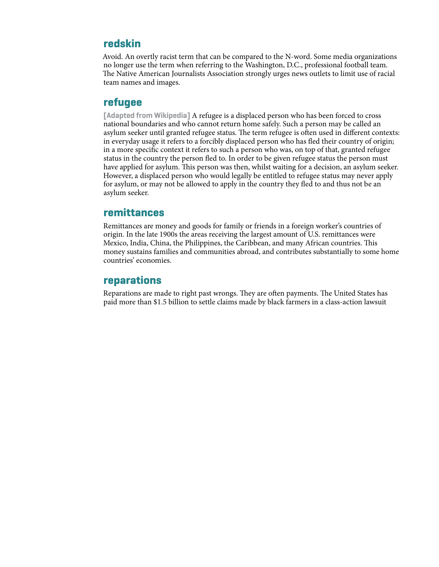### redskin

Avoid. An overtly racist term that can be compared to the N-word. Some media organizations no longer use the term when referring to the Washington, D.C., professional football team. The Native American Journalists Association strongly urges news outlets to limit use of racial team names and images.

### refugee

**[Adapted from Wikipedia]** A refugee is a displaced person who has been forced to cross national boundaries and who cannot return home safely. Such a person may be called an asylum seeker until granted refugee status. The term refugee is often used in different contexts: in everyday usage it refers to a forcibly displaced person who has fed their country of origin; in a more specifc context it refers to such a person who was, on top of that, granted refugee status in the country the person fed to. In order to be given refugee status the person must have applied for asylum. This person was then, whilst waiting for a decision, an asylum seeker. However, a displaced person who would legally be entitled to refugee status may never apply for asylum, or may not be allowed to apply in the country they fed to and thus not be an asylum seeker.

### remittances

Remittances are money and goods for family or friends in a foreign worker's countries of origin. In the late 1900s the areas receiving the largest amount of U.S. remittances were Mexico, India, China, the Philippines, the Caribbean, and many African countries. Tis money sustains families and communities abroad, and contributes substantially to some home countries' economies.

### reparations

Reparations are made to right past wrongs. They are often payments. The United States has paid more than \$1.5 billion to settle claims made by black farmers in a class-action lawsuit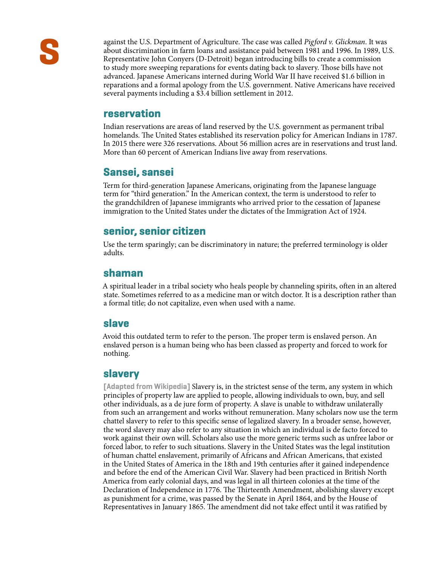against the U.S. Department of Agriculture. The case was called *Pigford v. Glickman*. It was about discrimination in farm loans and assistance paid between 1981 and 1996. In 1989, U. Representative John Conyers (D-Detroit about discrimination in farm loans and assistance paid between 1981 and 1996. In 1989, U.S. Representative John Conyers (D-Detroit) began introducing bills to create a commission to study more sweeping reparations for events dating back to slavery. Those bills have not advanced. Japanese Americans interned during World War II have received \$1.6 billion in reparations and a formal apology from the U.S. government. Native Americans have received several payments including a \$3.4 billion settlement in 2012.

### reservation

Indian reservations are areas of land reserved by the U.S. government as permanent tribal homelands. The United States established its reservation policy for American Indians in 1787. In 2015 there were 326 reservations. About 56 million acres are in reservations and trust land. More than 60 percent of American Indians live away from reservations.

## Sansei, sansei

Term for third-generation Japanese Americans, originating from the Japanese language term for "third generation." In the American context, the term is understood to refer to the grandchildren of Japanese immigrants who arrived prior to the cessation of Japanese immigration to the United States under the dictates of the Immigration Act of 1924.

## senior, senior citizen

Use the term sparingly; can be discriminatory in nature; the preferred terminology is older adults.

### shaman

A spiritual leader in a tribal society who heals people by channeling spirits, ofen in an altered state. Sometimes referred to as a medicine man or witch doctor. It is a description rather than a formal title; do not capitalize, even when used with a name.

### slave

Avoid this outdated term to refer to the person. The proper term is enslaved person. An enslaved person is a human being who has been classed as property and forced to work for nothing.

### slavery

**[Adapted from Wikipedia]** Slavery is, in the strictest sense of the term, any system in which principles of property law are applied to people, allowing individuals to own, buy, and sell other individuals, as a de jure form of property. A slave is unable to withdraw unilaterally from such an arrangement and works without remuneration. Many scholars now use the term chattel slavery to refer to this specifc sense of legalized slavery. In a broader sense, however, the word slavery may also refer to any situation in which an individual is de facto forced to work against their own will. Scholars also use the more generic terms such as unfree labor or forced labor, to refer to such situations. Slavery in the United States was the legal institution of human chattel enslavement, primarily of Africans and African Americans, that existed in the United States of America in the 18th and 19th centuries afer it gained independence and before the end of the American Civil War. Slavery had been practiced in British North America from early colonial days, and was legal in all thirteen colonies at the time of the Declaration of Independence in 1776. The Thirteenth Amendment, abolishing slavery except as punishment for a crime, was passed by the Senate in April 1864, and by the House of Representatives in January 1865. The amendment did not take effect until it was ratified by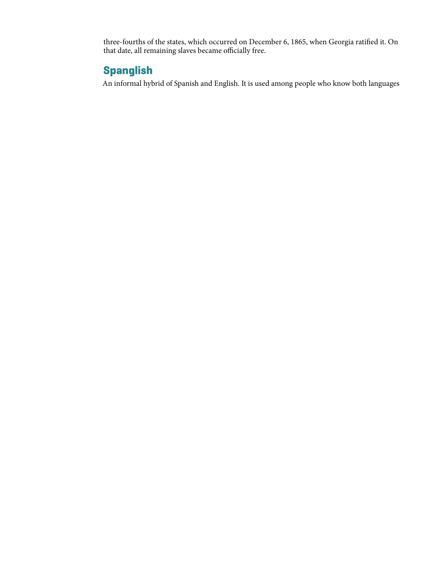three-fourths of the states, which occurred on December 6, 1865, when Georgia ratifed it. On that date, all remaining slaves became officially free.

# Spanglish

An informal hybrid of Spanish and English. It is used among people who know both languages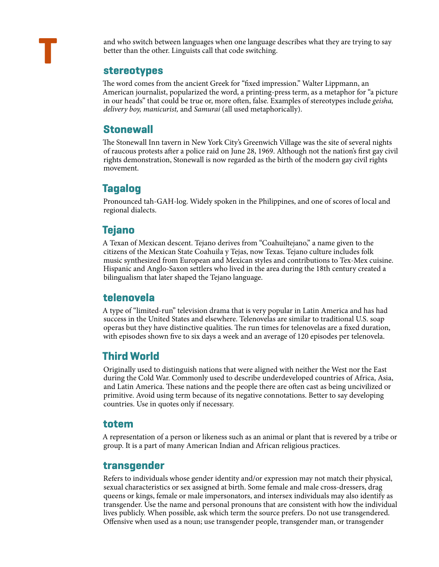and who switch between languages when one language describes what they are trying to say better than the other. Linguists call that code switching.

### stereotypes

The word comes from the ancient Greek for "fixed impression." Walter Lippmann, an American journalist, popularized the word, a printing-press term, as a metaphor for "a picture in our heads" that could be true or, more ofen, false. Examples of stereotypes include *geisha, delivery boy, manicurist,* and *Samurai* (all used metaphorically).

### **Stonewall**

The Stonewall Inn tavern in New York City's Greenwich Village was the site of several nights of raucous protests afer a police raid on June 28, 1969. Although not the nation's frst gay civil rights demonstration, Stonewall is now regarded as the birth of the modern gay civil rights movement.

# Tagalog

Pronounced tah-GAH-log. Widely spoken in the Philippines, and one of scores of local and regional dialects.

# Tejano

A Texan of Mexican descent. Tejano derives from "Coahuiltejano," a name given to the citizens of the Mexican State Coahuila y Tejas, now Texas. Tejano culture includes folk music synthesized from European and Mexican styles and contributions to Tex-Mex cuisine. Hispanic and Anglo-Saxon settlers who lived in the area during the 18th century created a bilingualism that later shaped the Tejano language.

# telenovela

A type of "limited-run" television drama that is very popular in Latin America and has had success in the United States and elsewhere. Telenovelas are similar to traditional U.S. soap operas but they have distinctive qualities. The run times for telenovelas are a fixed duration, with episodes shown fve to six days a week and an average of 120 episodes per telenovela.

# Third World

Originally used to distinguish nations that were aligned with neither the West nor the East during the Cold War. Commonly used to describe underdeveloped countries of Africa, Asia, and Latin America. These nations and the people there are often cast as being uncivilized or primitive. Avoid using term because of its negative connotations. Better to say developing countries. Use in quotes only if necessary.

### totem

A representation of a person or likeness such as an animal or plant that is revered by a tribe or group. It is a part of many American Indian and African religious practices.

### transgender

Refers to individuals whose gender identity and/or expression may not match their physical, sexual characteristics or sex assigned at birth. Some female and male cross-dressers, drag queens or kings, female or male impersonators, and intersex individuals may also identify as transgender. Use the name and personal pronouns that are consistent with how the individual lives publicly. When possible, ask which term the source prefers. Do not use transgendered. Ofensive when used as a noun; use transgender people, transgender man, or transgender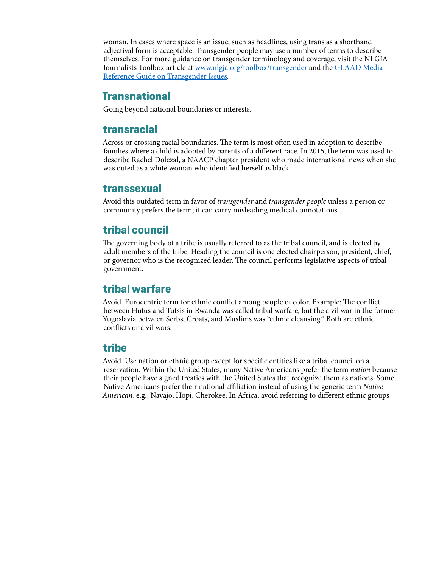woman. In cases where space is an issue, such as headlines, using trans as a shorthand adjectival form is acceptable. Transgender people may use a number of terms to describe themselves. For more guidance on transgender terminology and coverage, visit the NLGJA Journalists Toolbox article at [www.nlgja.org/toolbox/transgender](file:///C:\Users\MieriMA\Downloads\www.nlgja.org\toolbox\transgender) and the [GLAAD Media](https://www.glaad.org/reference/transgender)  [Reference Guide on Transgender Issues.](https://www.glaad.org/reference/transgender)

### Transnational

Going beyond national boundaries or interests.

### transracial

Across or crossing racial boundaries. The term is most often used in adoption to describe families where a child is adopted by parents of a diferent race. In 2015, the term was used to describe Rachel Dolezal, a NAACP chapter president who made international news when she was outed as a white woman who identifed herself as black.

### transsexual

Avoid this outdated term in favor of *transgender* and *transgender people* unless a person or community prefers the term; it can carry misleading medical connotations.

# tribal council

The governing body of a tribe is usually referred to as the tribal council, and is elected by adult members of the tribe. Heading the council is one elected chairperson, president, chief, or governor who is the recognized leader. The council performs legislative aspects of tribal government.

# tribal warfare

Avoid. Eurocentric term for ethnic conflict among people of color. Example: The conflict between Hutus and Tutsis in Rwanda was called tribal warfare, but the civil war in the former Yugoslavia between Serbs, Croats, and Muslims was "ethnic cleansing." Both are ethnic conficts or civil wars.

### tribe

Avoid. Use nation or ethnic group except for specifc entities like a tribal council on a reservation. Within the United States, many Native Americans prefer the term *nation* because their people have signed treaties with the United States that recognize them as nations. Some Native Americans prefer their national afliation instead of using the generic term *Native American*, e.g., Navajo, Hopi, Cherokee. In Africa, avoid referring to diferent ethnic groups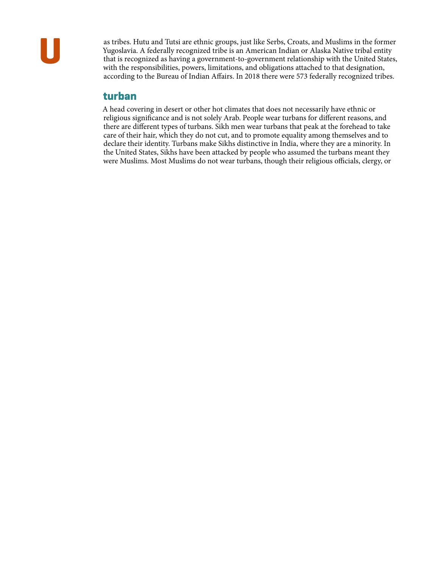as tribes. Hutu and Tutsi are ethnic groups, just like Serbs, Croats, and Muslims in the former Yugoslavia. A federally recognized tribe is an American Indian or Alaska Native tribal entity that is recognized as having a g Yugoslavia. A federally recognized tribe is an American Indian or Alaska Native tribal entity that is recognized as having a government-to-government relationship with the United States, with the responsibilities, powers, limitations, and obligations attached to that designation, according to the Bureau of Indian Afairs. In 2018 there were 573 federally recognized tribes.

### turban

A head covering in desert or other hot climates that does not necessarily have ethnic or religious signifcance and is not solely Arab. People wear turbans for diferent reasons, and there are diferent types of turbans. Sikh men wear turbans that peak at the forehead to take care of their hair, which they do not cut, and to promote equality among themselves and to declare their identity. Turbans make Sikhs distinctive in India, where they are a minority. In the United States, Sikhs have been attacked by people who assumed the turbans meant they were Muslims. Most Muslims do not wear turbans, though their religious officials, clergy, or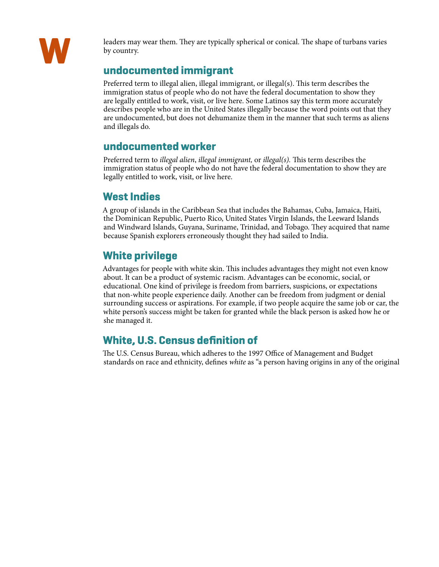

leaders may wear them. They are typically spherical or conical. The shape of turbans varies by country.

# undocumented immigrant

Preferred term to illegal alien, illegal immigrant, or illegal(s). This term describes the immigration status of people who do not have the federal documentation to show they are legally entitled to work, visit, or live here. Some Latinos say this term more accurately describes people who are in the United States illegally because the word points out that they are undocumented, but does not dehumanize them in the manner that such terms as aliens and illegals do.

### undocumented worker

Preferred term to *illegal alien*, *illegal immigrant*, or *illegal(s)*. This term describes the immigration status of people who do not have the federal documentation to show they are legally entitled to work, visit, or live here.

# West Indies

A group of islands in the Caribbean Sea that includes the Bahamas, Cuba, Jamaica, Haiti, the Dominican Republic, Puerto Rico, United States Virgin Islands, the Leeward Islands and Windward Islands, Guyana, Suriname, Trinidad, and Tobago. They acquired that name because Spanish explorers erroneously thought they had sailed to India.

# White privilege

Advantages for people with white skin. Tis includes advantages they might not even know about. It can be a product of systemic racism. Advantages can be economic, social, or educational. One kind of privilege is freedom from barriers, suspicions, or expectations that non-white people experience daily. Another can be freedom from judgment or denial surrounding success or aspirations. For example, if two people acquire the same job or car, the white person's success might be taken for granted while the black person is asked how he or she managed it.

# White, U.S. Census defnition of

The U.S. Census Bureau, which adheres to the 1997 Office of Management and Budget standards on race and ethnicity, defnes *white* as "a person having origins in any of the original